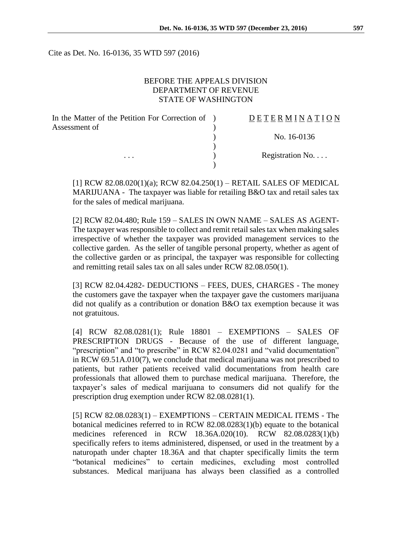Cite as Det. No. 16-0136, 35 WTD 597 (2016)

#### BEFORE THE APPEALS DIVISION DEPARTMENT OF REVENUE STATE OF WASHINGTON

| In the Matter of the Petition For Correction of ) | <b>DETERMINATION</b> |
|---------------------------------------------------|----------------------|
| Assessment of                                     |                      |
|                                                   | No. 16-0136          |
|                                                   |                      |
| $\cdots$                                          | Registration No      |
|                                                   |                      |

[1] RCW 82.08.020(1)(a); RCW 82.04.250(1) – RETAIL SALES OF MEDICAL MARIJUANA - The taxpayer was liable for retailing B&O tax and retail sales tax for the sales of medical marijuana.

[2] RCW 82.04.480; Rule 159 – SALES IN OWN NAME – SALES AS AGENT-The taxpayer was responsible to collect and remit retail sales tax when making sales irrespective of whether the taxpayer was provided management services to the collective garden. As the seller of tangible personal property, whether as agent of the collective garden or as principal, the taxpayer was responsible for collecting and remitting retail sales tax on all sales under RCW 82.08.050(1).

[3] RCW 82.04.4282- DEDUCTIONS – FEES, DUES, CHARGES - The money the customers gave the taxpayer when the taxpayer gave the customers marijuana did not qualify as a contribution or donation B&O tax exemption because it was not gratuitous.

[4] RCW 82.08.0281(1); Rule 18801 – EXEMPTIONS – SALES OF PRESCRIPTION DRUGS - Because of the use of different language, "prescription" and "to prescribe" in RCW 82.04.0281 and "valid documentation" in RCW 69.51A.010(7), we conclude that medical marijuana was not prescribed to patients, but rather patients received valid documentations from health care professionals that allowed them to purchase medical marijuana. Therefore, the taxpayer's sales of medical marijuana to consumers did not qualify for the prescription drug exemption under RCW 82.08.0281(1).

[5] RCW 82.08.0283(1) – EXEMPTIONS – CERTAIN MEDICAL ITEMS - The botanical medicines referred to in RCW 82.08.0283(1)(b) equate to the botanical medicines referenced in RCW 18.36A.020(10). RCW 82.08.0283(1)(b) specifically refers to items administered, dispensed, or used in the treatment by a naturopath under chapter 18.36A and that chapter specifically limits the term "botanical medicines" to certain medicines, excluding most controlled substances. Medical marijuana has always been classified as a controlled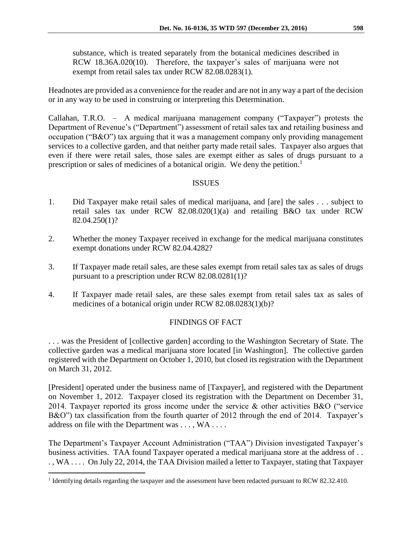substance, which is treated separately from the botanical medicines described in RCW 18.36A.020(10). Therefore, the taxpayer's sales of marijuana were not exempt from retail sales tax under RCW 82.08.0283(1).

Headnotes are provided as a convenience for the reader and are not in any way a part of the decision or in any way to be used in construing or interpreting this Determination.

Callahan, T.R.O. – A medical marijuana management company ("Taxpayer") protests the Department of Revenue's ("Department") assessment of retail sales tax and retailing business and occupation ("B&O") tax arguing that it was a management company only providing management services to a collective garden, and that neither party made retail sales. Taxpayer also argues that even if there were retail sales, those sales are exempt either as sales of drugs pursuant to a prescription or sales of medicines of a botanical origin. We deny the petition.<sup>1</sup>

### ISSUES

- 1. Did Taxpayer make retail sales of medical marijuana, and [are] the sales . . . subject to retail sales tax under RCW 82.08.020(1)(a) and retailing B&O tax under RCW 82.04.250(1)?
- 2. Whether the money Taxpayer received in exchange for the medical marijuana constitutes exempt donations under RCW 82.04.4282?
- 3. If Taxpayer made retail sales, are these sales exempt from retail sales tax as sales of drugs pursuant to a prescription under RCW 82.08.0281(1)?
- 4. If Taxpayer made retail sales, are these sales exempt from retail sales tax as sales of medicines of a botanical origin under RCW 82.08.0283(1)(b)?

### FINDINGS OF FACT

. . . was the President of [collective garden] according to the Washington Secretary of State. The collective garden was a medical marijuana store located [in Washington]. The collective garden registered with the Department on October 1, 2010, but closed its registration with the Department on March 31, 2012.

[President] operated under the business name of [Taxpayer], and registered with the Department on November 1, 2012. Taxpayer closed its registration with the Department on December 31, 2014. Taxpayer reported its gross income under the service & other activities B&O ("service B&O") tax classification from the fourth quarter of 2012 through the end of 2014. Taxpayer's address on file with the Department was . . . , WA . . . .

The Department's Taxpayer Account Administration ("TAA") Division investigated Taxpayer's business activities. TAA found Taxpayer operated a medical marijuana store at the address of . . . , WA . . . . On July 22, 2014, the TAA Division mailed a letter to Taxpayer, stating that Taxpayer

<sup>&</sup>lt;sup>1</sup> Identifying details regarding the taxpayer and the assessment have been redacted pursuant to RCW 82.32.410.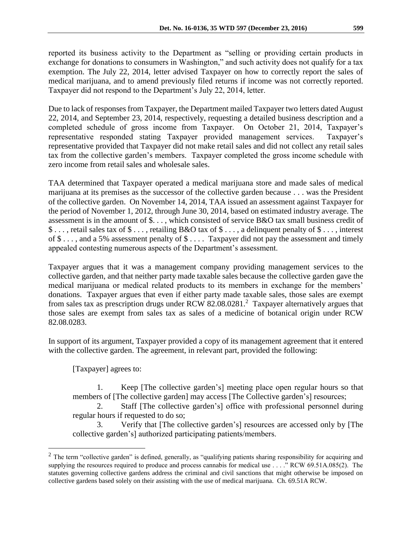reported its business activity to the Department as "selling or providing certain products in exchange for donations to consumers in Washington," and such activity does not qualify for a tax exemption. The July 22, 2014, letter advised Taxpayer on how to correctly report the sales of medical marijuana, and to amend previously filed returns if income was not correctly reported. Taxpayer did not respond to the Department's July 22, 2014, letter.

Due to lack of responses from Taxpayer, the Department mailed Taxpayer two letters dated August 22, 2014, and September 23, 2014, respectively, requesting a detailed business description and a completed schedule of gross income from Taxpayer. On October 21, 2014, Taxpayer's representative responded stating Taxpayer provided management services. Taxpayer's representative provided that Taxpayer did not make retail sales and did not collect any retail sales tax from the collective garden's members. Taxpayer completed the gross income schedule with zero income from retail sales and wholesale sales.

TAA determined that Taxpayer operated a medical marijuana store and made sales of medical marijuana at its premises as the successor of the collective garden because . . . was the President of the collective garden. On November 14, 2014, TAA issued an assessment against Taxpayer for the period of November 1, 2012, through June 30, 2014, based on estimated industry average. The assessment is in the amount of \$. . . , which consisted of service B&O tax small business credit of \$ . . . , retail sales tax of \$ . . . , retailing B&O tax of \$ . . . , a delinquent penalty of \$ . . . , interest of  $\$\ldots$ , and a 5% assessment penalty of  $\$\ldots$  Taxpayer did not pay the assessment and timely appealed contesting numerous aspects of the Department's assessment.

Taxpayer argues that it was a management company providing management services to the collective garden, and that neither party made taxable sales because the collective garden gave the medical marijuana or medical related products to its members in exchange for the members' donations. Taxpayer argues that even if either party made taxable sales, those sales are exempt from sales tax as prescription drugs under RCW 82.08.0281.<sup>2</sup> Taxpayer alternatively argues that those sales are exempt from sales tax as sales of a medicine of botanical origin under RCW 82.08.0283.

In support of its argument, Taxpayer provided a copy of its management agreement that it entered with the collective garden. The agreement, in relevant part, provided the following:

[Taxpayer] agrees to:

 $\overline{a}$ 

1. Keep [The collective garden's] meeting place open regular hours so that members of [The collective garden] may access [The Collective garden's] resources;

2. Staff [The collective garden's] office with professional personnel during regular hours if requested to do so;

3. Verify that [The collective garden's] resources are accessed only by [The collective garden's] authorized participating patients/members.

 $2$  The term "collective garden" is defined, generally, as "qualifying patients sharing responsibility for acquiring and supplying the resources required to produce and process cannabis for medical use . . . ." RCW 69.51A.085(2). The statutes governing collective gardens address the criminal and civil sanctions that might otherwise be imposed on collective gardens based solely on their assisting with the use of medical marijuana. Ch. 69.51A RCW.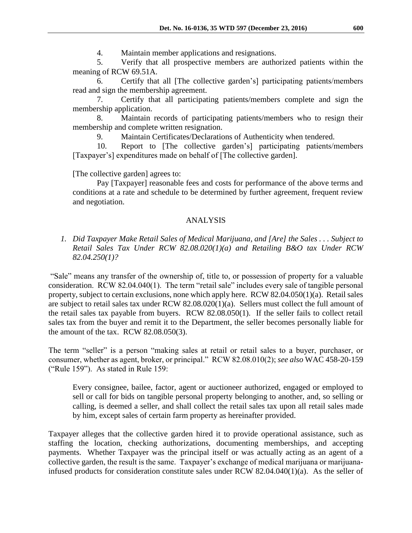4. Maintain member applications and resignations.

5. Verify that all prospective members are authorized patients within the meaning of RCW 69.51A.

6. Certify that all [The collective garden's] participating patients/members read and sign the membership agreement.

7. Certify that all participating patients/members complete and sign the membership application.

8. Maintain records of participating patients/members who to resign their membership and complete written resignation.

9. Maintain Certificates/Declarations of Authenticity when tendered.

10. Report to [The collective garden's] participating patients/members [Taxpayer's] expenditures made on behalf of [The collective garden].

[The collective garden] agrees to:

Pay [Taxpayer] reasonable fees and costs for performance of the above terms and conditions at a rate and schedule to be determined by further agreement, frequent review and negotiation.

# ANALYSIS

*1. Did Taxpayer Make Retail Sales of Medical Marijuana, and [Are] the Sales . . . Subject to Retail Sales Tax Under RCW 82.08.020(1)(a) and Retailing B&O tax Under RCW 82.04.250(1)?*

"Sale" means any transfer of the ownership of, title to, or possession of property for a valuable consideration. RCW 82.04.040(1). The term "retail sale" includes every sale of tangible personal property, subject to certain exclusions, none which apply here. RCW 82.04.050(1)(a). Retail sales are subject to retail sales tax under RCW 82.08.020(1)(a). Sellers must collect the full amount of the retail sales tax payable from buyers. RCW 82.08.050(1). If the seller fails to collect retail sales tax from the buyer and remit it to the Department, the seller becomes personally liable for the amount of the tax. RCW 82.08.050(3).

The term "seller" is a person "making sales at retail or retail sales to a buyer, purchaser, or consumer, whether as agent, broker, or principal." RCW 82.08.010(2); *see also* WAC 458-20-159 ("Rule 159"). As stated in Rule 159:

Every consignee, bailee, factor, agent or auctioneer authorized, engaged or employed to sell or call for bids on tangible personal property belonging to another, and, so selling or calling, is deemed a seller, and shall collect the retail sales tax upon all retail sales made by him, except sales of certain farm property as hereinafter provided.

Taxpayer alleges that the collective garden hired it to provide operational assistance, such as staffing the location, checking authorizations, documenting memberships, and accepting payments. Whether Taxpayer was the principal itself or was actually acting as an agent of a collective garden, the result is the same. Taxpayer's exchange of medical marijuana or marijuanainfused products for consideration constitute sales under RCW 82.04.040(1)(a). As the seller of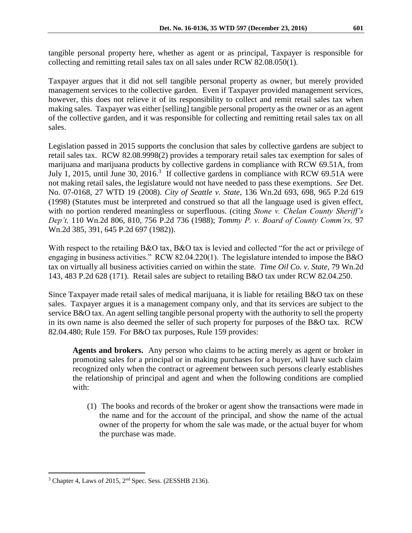tangible personal property here, whether as agent or as principal, Taxpayer is responsible for collecting and remitting retail sales tax on all sales under RCW 82.08.050(1).

Taxpayer argues that it did not sell tangible personal property as owner, but merely provided management services to the collective garden. Even if Taxpayer provided management services, however, this does not relieve it of its responsibility to collect and remit retail sales tax when making sales. Taxpayer was either [selling] tangible personal property as the owner or as an agent of the collective garden, and it was responsible for collecting and remitting retail sales tax on all sales.

Legislation passed in 2015 supports the conclusion that sales by collective gardens are subject to retail sales tax. RCW 82.08.9998(2) provides a temporary retail sales tax exemption for sales of marijuana and marijuana products by collective gardens in compliance with RCW 69.51A, from July 1, 2015, until June 30, 2016.<sup>3</sup> If collective gardens in compliance with RCW 69.51A were not making retail sales, the legislature would not have needed to pass these exemptions. *See* Det. No. 07-0168, 27 WTD 19 (2008). *City of Seattle v. State*, 136 Wn.2d 693, 698, 965 P.2d 619 (1998) (Statutes must be interpreted and construed so that all the language used is given effect, with no portion rendered meaningless or superfluous. (citing *Stone v. Chelan County Sheriff's Dep't,* 110 Wn.2d 806, 810, 756 P.2d 736 (1988); *Tommy P. v. Board of County Comm'rs,* 97 Wn.2d 385, 391, 645 P.2d 697 (1982)).

With respect to the retailing B&O tax, B&O tax is levied and collected "for the act or privilege of engaging in business activities." RCW 82.04.220(1). The legislature intended to impose the B&O tax on virtually all business activities carried on within the state. *Time Oil Co. v. State*, 79 Wn.2d 143, 483 P.2d 628 (171). Retail sales are subject to retailing B&O tax under RCW 82.04.250.

Since Taxpayer made retail sales of medical marijuana, it is liable for retailing B&O tax on these sales. Taxpayer argues it is a management company only, and that its services are subject to the service B&O tax. An agent selling tangible personal property with the authority to sell the property in its own name is also deemed the seller of such property for purposes of the B&O tax. RCW 82.04.480; Rule 159. For B&O tax purposes, Rule 159 provides:

**Agents and brokers.** Any person who claims to be acting merely as agent or broker in promoting sales for a principal or in making purchases for a buyer, will have such claim recognized only when the contract or agreement between such persons clearly establishes the relationship of principal and agent and when the following conditions are complied with:

(1) The books and records of the broker or agent show the transactions were made in the name and for the account of the principal, and show the name of the actual owner of the property for whom the sale was made, or the actual buyer for whom the purchase was made.

<sup>3</sup> Chapter 4, Laws of 2015, 2nd Spec. Sess. (2ESSHB 2136).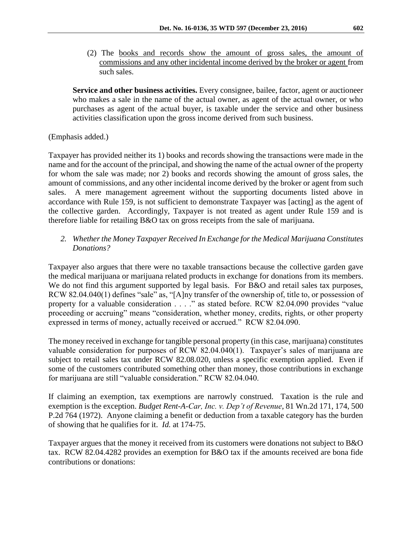(2) The books and records show the amount of gross sales, the amount of commissions and any other incidental income derived by the broker or agent from such sales.

**Service and other business activities.** Every consignee, bailee, factor, agent or auctioneer who makes a sale in the name of the actual owner, as agent of the actual owner, or who purchases as agent of the actual buyer, is taxable under the service and other business activities classification upon the gross income derived from such business.

## (Emphasis added.)

Taxpayer has provided neither its 1) books and records showing the transactions were made in the name and for the account of the principal, and showing the name of the actual owner of the property for whom the sale was made; nor 2) books and records showing the amount of gross sales, the amount of commissions, and any other incidental income derived by the broker or agent from such sales. A mere management agreement without the supporting documents listed above in accordance with Rule 159, is not sufficient to demonstrate Taxpayer was [acting] as the agent of the collective garden. Accordingly, Taxpayer is not treated as agent under Rule 159 and is therefore liable for retailing B&O tax on gross receipts from the sale of marijuana.

## *2. Whether the Money Taxpayer Received In Exchange for the Medical Marijuana Constitutes Donations?*

Taxpayer also argues that there were no taxable transactions because the collective garden gave the medical marijuana or marijuana related products in exchange for donations from its members. We do not find this argument supported by legal basis. For B&O and retail sales tax purposes, RCW 82.04.040(1) defines "sale" as, "[A]ny transfer of the ownership of, title to, or possession of property for a valuable consideration . . . ." as stated before. RCW 82.04.090 provides "value proceeding or accruing" means "consideration, whether money, credits, rights, or other property expressed in terms of money, actually received or accrued." RCW 82.04.090.

The money received in exchange for tangible personal property (in this case, marijuana) constitutes valuable consideration for purposes of RCW 82.04.040(1). Taxpayer's sales of marijuana are subject to retail sales tax under RCW 82.08.020, unless a specific exemption applied. Even if some of the customers contributed something other than money, those contributions in exchange for marijuana are still "valuable consideration." RCW 82.04.040.

If claiming an exemption, tax exemptions are narrowly construed. Taxation is the rule and exemption is the exception. *Budget Rent-A-Car, Inc. v. Dep't of Revenue*, 81 Wn.2d 171, 174, 500 P.2d 764 (1972). Anyone claiming a benefit or deduction from a taxable category has the burden of showing that he qualifies for it. *Id.* at 174-75.

Taxpayer argues that the money it received from its customers were donations not subject to B&O tax. RCW 82.04.4282 provides an exemption for B&O tax if the amounts received are bona fide contributions or donations: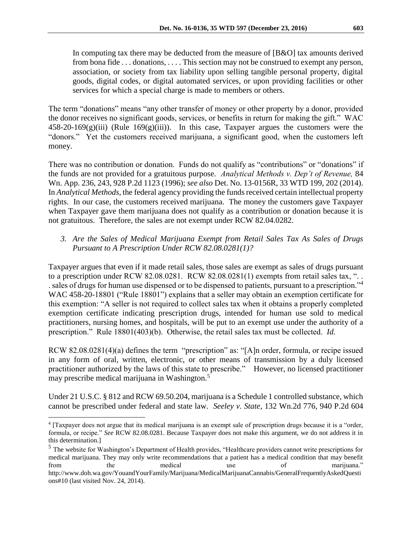In computing tax there may be deducted from the measure of [B&O] tax amounts derived from bona fide . . . donations, . . . . This section may not be construed to exempt any person, association, or society from tax liability upon selling tangible personal property, digital goods, digital codes, or digital automated services, or upon providing facilities or other services for which a special charge is made to members or others.

The term "donations" means "any other transfer of money or other property by a donor, provided the donor receives no significant goods, services, or benefits in return for making the gift." WAC  $458-20-169(g)(iii)$  (Rule  $169(g)(iii)$ ). In this case, Taxpayer argues the customers were the "donors." Yet the customers received marijuana, a significant good, when the customers left money.

There was no contribution or donation. Funds do not qualify as "contributions" or "donations" if the funds are not provided for a gratuitous purpose. *Analytical Methods v. Dep't of Revenue,* 84 Wn. App. 236, 243, 928 P.2d 1123 (1996); *see also* Det. No. 13-0156R, 33 WTD 199, 202 (2014). In *Analytical Methods,* the federal agency providing the funds received certain intellectual property rights. In our case, the customers received marijuana. The money the customers gave Taxpayer when Taxpayer gave them marijuana does not qualify as a contribution or donation because it is not gratuitous. Therefore, the sales are not exempt under RCW 82.04.0282.

# *3. Are the Sales of Medical Marijuana Exempt from Retail Sales Tax As Sales of Drugs Pursuant to A Prescription Under RCW 82.08.0281(1)?*

Taxpayer argues that even if it made retail sales, those sales are exempt as sales of drugs pursuant to a prescription under RCW 82.08.0281. RCW 82.08.0281(1) exempts from retail sales tax, "... . sales of drugs for human use dispensed or to be dispensed to patients, pursuant to a prescription."<sup>4</sup> WAC 458-20-18801 ("Rule 18801") explains that a seller may obtain an exemption certificate for this exemption: "A seller is not required to collect sales tax when it obtains a properly completed exemption certificate indicating prescription drugs, intended for human use sold to medical practitioners, nursing homes, and hospitals, will be put to an exempt use under the authority of a prescription." Rule 18801(403)(b). Otherwise, the retail sales tax must be collected. *Id.*

RCW 82.08.0281(4)(a) defines the term "prescription" as: "[A]n order, formula, or recipe issued in any form of oral, written, electronic, or other means of transmission by a duly licensed practitioner authorized by the laws of this state to prescribe." However, no licensed practitioner may prescribe medical marijuana in Washington.<sup>5</sup>

Under 21 U.S.C. § 812 and RCW 69.50.204, marijuana is a Schedule 1 controlled substance, which cannot be prescribed under federal and state law. *Seeley v. State*, 132 Wn.2d 776, 940 P.2d 604

<sup>4</sup> [Taxpayer does not argue that its medical marijuana is an exempt sale of prescription drugs because it is a "order, formula, or recipe." *See* RCW 82.08.0281. Because Taxpayer does not make this argument, we do not address it in this determination.]

<sup>&</sup>lt;sup>5</sup> The website for Washington's Department of Health provides, "Healthcare providers cannot write prescriptions for medical marijuana. They may only write recommendations that a patient has a medical condition that may benefit from the medical use of marijuana." http://www.doh.wa.gov/YouandYourFamily/Marijuana/MedicalMarijuanaCannabis/GeneralFrequentlyAskedQuesti ons#10 (last visited Nov. 24, 2014).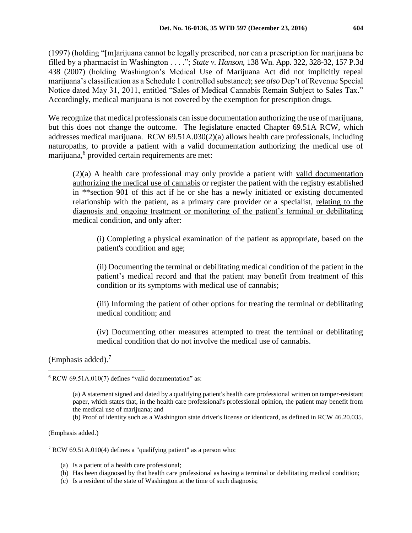(1997) (holding "[m]arijuana cannot be legally prescribed, nor can a prescription for marijuana be filled by a pharmacist in Washington . . . ."; *State v. Hanson*, 138 Wn. App. 322, 328-32, 157 P.3d 438 (2007) (holding Washington's Medical Use of Marijuana Act did not implicitly repeal marijuana's classification as a Schedule 1 controlled substance); *see also* Dep't of Revenue Special Notice dated May 31, 2011, entitled "Sales of Medical Cannabis Remain Subject to Sales Tax." Accordingly, medical marijuana is not covered by the exemption for prescription drugs.

We recognize that medical professionals can issue documentation authorizing the use of marijuana, but this does not change the outcome. The legislature enacted Chapter 69.51A RCW, which addresses medical marijuana. RCW 69.51A.030(2)(a) allows health care professionals, including naturopaths, to provide a patient with a valid documentation authorizing the medical use of marijuana,<sup>6</sup> provided certain requirements are met:

(2)(a) A health care professional may only provide a patient with valid documentation authorizing the medical use of cannabis or register the patient with the registry established in \*\*section 901 of this act if he or she has a newly initiated or existing documented relationship with the patient, as a primary care provider or a specialist, relating to the diagnosis and ongoing treatment or monitoring of the patient's terminal or debilitating medical condition, and only after:

(i) Completing a physical examination of the patient as appropriate, based on the patient's condition and age;

(ii) Documenting the terminal or debilitating medical condition of the patient in the patient's medical record and that the patient may benefit from treatment of this condition or its symptoms with medical use of cannabis;

(iii) Informing the patient of other options for treating the terminal or debilitating medical condition; and

(iv) Documenting other measures attempted to treat the terminal or debilitating medical condition that do not involve the medical use of cannabis.

(Emphasis added).<sup>7</sup>

 $\overline{a}$ 

(b) Proof of identity such as a Washington state driver's license or identicard, as defined in RCW 46.20.035.

(Emphasis added.)

<sup>7</sup> RCW 69.51A.010(4) defines a "qualifying patient" as a person who:

- (a) Is a patient of a health care professional;
- (b) Has been diagnosed by that health care professional as having a terminal or debilitating medical condition;
- (c) Is a resident of the state of Washington at the time of such diagnosis;

 $6$  RCW 69.51A.010(7) defines "valid documentation" as:

<sup>(</sup>a) A statement signed and dated by a qualifying patient's health care professional written on tamper-resistant paper, which states that, in the health care professional's professional opinion, the patient may benefit from the medical use of marijuana; and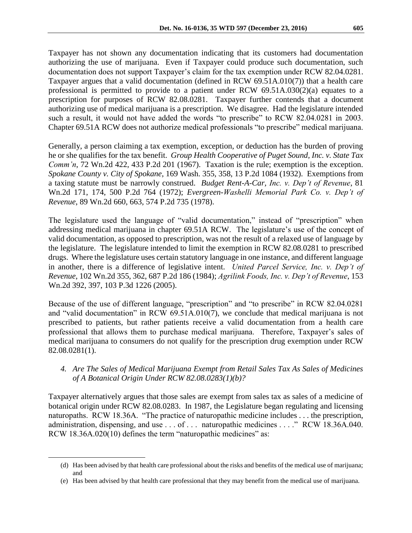Taxpayer has not shown any documentation indicating that its customers had documentation authorizing the use of marijuana. Even if Taxpayer could produce such documentation, such documentation does not support Taxpayer's claim for the tax exemption under RCW 82.04.0281. Taxpayer argues that a valid documentation (defined in RCW 69.51A.010(7)) that a health care professional is permitted to provide to a patient under RCW 69.51A.030(2)(a) equates to a prescription for purposes of RCW 82.08.0281. Taxpayer further contends that a document authorizing use of medical marijuana is a prescription. We disagree. Had the legislature intended such a result, it would not have added the words "to prescribe" to RCW 82.04.0281 in 2003. Chapter 69.51A RCW does not authorize medical professionals "to prescribe" medical marijuana.

Generally, a person claiming a tax exemption, exception, or deduction has the burden of proving he or she qualifies for the tax benefit. *Group Health Cooperative of Puget Sound, Inc. v. State Tax Comm'n*, 72 Wn.2d 422, 433 P.2d 201 (1967). Taxation is the rule; exemption is the exception. *Spokane County v. City of Spokane*, 169 Wash. 355, 358, 13 P.2d 1084 (1932). Exemptions from a taxing statute must be narrowly construed. *Budget Rent-A-Car, Inc. v. Dep't of Revenue*, 81 Wn.2d 171, 174, 500 P.2d 764 (1972); *Evergreen-Washelli Memorial Park Co. v. Dep't of Revenue*, 89 Wn.2d 660, 663, 574 P.2d 735 (1978).

The legislature used the language of "valid documentation," instead of "prescription" when addressing medical marijuana in chapter 69.51A RCW. The legislature's use of the concept of valid documentation, as opposed to prescription, was not the result of a relaxed use of language by the legislature. The legislature intended to limit the exemption in RCW 82.08.0281 to prescribed drugs. Where the legislature uses certain statutory language in one instance, and different language in another, there is a difference of legislative intent. *United Parcel Service, Inc. v. Dep't of Revenue*, 102 Wn.2d 355, 362, 687 P.2d 186 (1984); *Agrilink Foods, Inc. v. Dep't of Revenue*, 153 Wn.2d 392, 397, 103 P.3d 1226 (2005).

Because of the use of different language, "prescription" and "to prescribe" in RCW 82.04.0281 and "valid documentation" in RCW 69.51A.010(7), we conclude that medical marijuana is not prescribed to patients, but rather patients receive a valid documentation from a health care professional that allows them to purchase medical marijuana. Therefore, Taxpayer's sales of medical marijuana to consumers do not qualify for the prescription drug exemption under RCW 82.08.0281(1).

### *4. Are The Sales of Medical Marijuana Exempt from Retail Sales Tax As Sales of Medicines of A Botanical Origin Under RCW 82.08.0283(1)(b)?*

Taxpayer alternatively argues that those sales are exempt from sales tax as sales of a medicine of botanical origin under RCW 82.08.0283. In 1987, the Legislature began regulating and licensing naturopaths. RCW 18.36A. "The practice of naturopathic medicine includes . . . the prescription, administration, dispensing, and use . . . of . . . naturopathic medicines . . . ." RCW 18.36A.040. RCW 18.36A.020(10) defines the term "naturopathic medicines" as:

<sup>(</sup>d) Has been advised by that health care professional about the risks and benefits of the medical use of marijuana; and

<sup>(</sup>e) Has been advised by that health care professional that they may benefit from the medical use of marijuana.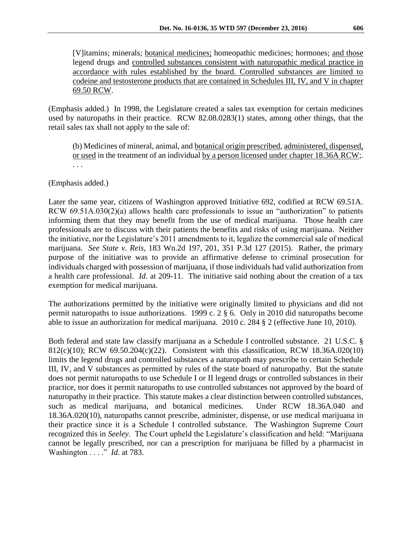[V]itamins; minerals; botanical medicines; homeopathic medicines; hormones; and those legend drugs and controlled substances consistent with naturopathic medical practice in accordance with rules established by the board. Controlled substances are limited to codeine and testosterone products that are contained in Schedules III, IV, and V in chapter 69.50 RCW.

(Emphasis added.) In 1998, the Legislature created a sales tax exemption for certain medicines used by naturopaths in their practice. RCW 82.08.0283(1) states, among other things, that the retail sales tax shall not apply to the sale of:

(b) Medicines of mineral, animal, and botanical origin prescribed, administered, dispensed, or used in the treatment of an individual by a person licensed under chapter 18.36A RCW;. . . .

(Emphasis added.)

Later the same year, citizens of Washington approved Initiative 692, codified at RCW 69.51A. RCW 69.51A.030(2)(a) allows health care professionals to issue an "authorization" to patients informing them that they may benefit from the use of medical marijuana. Those health care professionals are to discuss with their patients the benefits and risks of using marijuana. Neither the initiative, nor the Legislature's 2011 amendments to it, legalize the commercial sale of medical marijuana. *See State v. Reis*, 183 Wn.2d 197, 201, 351 P.3d 127 (2015). Rather, the primary purpose of the initiative was to provide an affirmative defense to criminal prosecution for individuals charged with possession of marijuana, if those individuals had valid authorization from a health care professional. *Id*. at 209-11. The initiative said nothing about the creation of a tax exemption for medical marijuana.

The authorizations permitted by the initiative were originally limited to physicians and did not permit naturopaths to issue authorizations. 1999 c. 2 § 6. Only in 2010 did naturopaths become able to issue an authorization for medical marijuana. 2010 c. 284 § 2 (effective June 10, 2010).

Both federal and state law classify marijuana as a Schedule I controlled substance. 21 U.S.C. § 812(c)(10); RCW 69.50.204(c)(22). Consistent with this classification, RCW 18.36A.020(10) limits the legend drugs and controlled substances a naturopath may prescribe to certain Schedule III, IV, and V substances as permitted by rules of the state board of naturopathy. But the statute does not permit naturopaths to use Schedule I or II legend drugs or controlled substances in their practice, nor does it permit naturopaths to use controlled substances not approved by the board of naturopathy in their practice. This statute makes a clear distinction between controlled substances, such as medical marijuana, and botanical medicines. Under RCW 18.36A.040 and 18.36A.020(10), naturopaths cannot prescribe, administer, dispense, or use medical marijuana in their practice since it is a Schedule I controlled substance. The Washington Supreme Court recognized this in *Seeley*. The Court upheld the Legislature's classification and held: "Marijuana cannot be legally prescribed, nor can a prescription for marijuana be filled by a pharmacist in Washington . . . ." *Id*. at 783.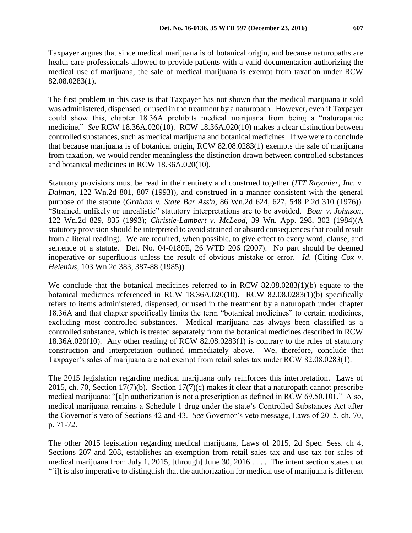Taxpayer argues that since medical marijuana is of botanical origin, and because naturopaths are health care professionals allowed to provide patients with a valid documentation authorizing the medical use of marijuana, the sale of medical marijuana is exempt from taxation under RCW 82.08.0283(1).

The first problem in this case is that Taxpayer has not shown that the medical marijuana it sold was administered, dispensed, or used in the treatment by a naturopath. However, even if Taxpayer could show this, chapter 18.36A prohibits medical marijuana from being a "naturopathic medicine." *See* RCW 18.36A.020(10). RCW 18.36A.020(10) makes a clear distinction between controlled substances, such as medical marijuana and botanical medicines. If we were to conclude that because marijuana is of botanical origin, RCW 82.08.0283(1) exempts the sale of marijuana from taxation, we would render meaningless the distinction drawn between controlled substances and botanical medicines in RCW 18.36A.020(10).

Statutory provisions must be read in their entirety and construed together (*ITT Rayonier, Inc. v. Dalman*, 122 Wn.2d 801, 807 (1993)), and construed in a manner consistent with the general purpose of the statute (*Graham v. State Bar Ass'n*, 86 Wn.2d 624, 627, 548 P.2d 310 (1976)). "Strained, unlikely or unrealistic" statutory interpretations are to be avoided. *Bour v. Johnson*, 122 Wn.2d 829, 835 (1993); *Christie-Lambert v. McLeod*, 39 Wn. App. 298, 302 (1984)(A statutory provision should be interpreted to avoid strained or absurd consequences that could result from a literal reading). We are required, when possible, to give effect to every word, clause, and sentence of a statute. Det. No. 04-0180E, 26 WTD 206 (2007). No part should be deemed inoperative or superfluous unless the result of obvious mistake or error. *Id*. (Citing *Cox v. Helenius*, 103 Wn.2d 383, 387-88 (1985)).

We conclude that the botanical medicines referred to in RCW 82.08.0283(1)(b) equate to the botanical medicines referenced in RCW 18.36A.020(10). RCW 82.08.0283(1)(b) specifically refers to items administered, dispensed, or used in the treatment by a naturopath under chapter 18.36A and that chapter specifically limits the term "botanical medicines" to certain medicines, excluding most controlled substances. Medical marijuana has always been classified as a controlled substance, which is treated separately from the botanical medicines described in RCW 18.36A.020(10). Any other reading of RCW 82.08.0283(1) is contrary to the rules of statutory construction and interpretation outlined immediately above. We, therefore, conclude that Taxpayer's sales of marijuana are not exempt from retail sales tax under RCW 82.08.0283(1).

The 2015 legislation regarding medical marijuana only reinforces this interpretation. Laws of 2015, ch. 70, Section 17(7)(b). Section 17(7)(c) makes it clear that a naturopath cannot prescribe medical marijuana: "[a]n authorization is not a prescription as defined in RCW 69.50.101." Also, medical marijuana remains a Schedule 1 drug under the state's Controlled Substances Act after the Governor's veto of Sections 42 and 43. *See* Governor's veto message, Laws of 2015, ch. 70, p. 71-72.

The other 2015 legislation regarding medical marijuana, Laws of 2015, 2d Spec. Sess. ch 4, Sections 207 and 208, establishes an exemption from retail sales tax and use tax for sales of medical marijuana from July 1, 2015, [through] June 30, 2016 . . . . The intent section states that "[i]t is also imperative to distinguish that the authorization for medical use of marijuana is different